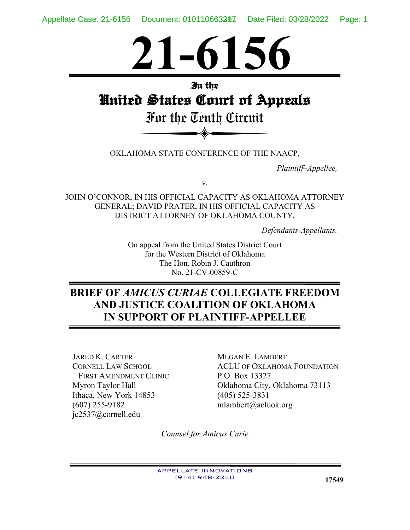

# **In the United States Court of Appeals**

Du nie oeuni ourmi For the Tenth Circuit

OKLAHOMA STATE CONFERENCE OF THE NAACP,

*Plaintiff–Appellee,*

v.

JOHN O'CONNOR, IN HIS OFFICIAL CAPACITY AS OKLAHOMA ATTORNEY GENERAL; DAVID PRATER, IN HIS OFFICIAL CAPACITY AS DISTRICT ATTORNEY OF OKLAHOMA COUNTY,

*Defendants-Appellants.*

On appeal from the United States District Court for the Western District of Oklahoma The Hon. Robin J. Cauthron No. 21-CV-00859-C

# **BRIEF OF** *AMICUS CURIAE* **COLLEGIATE FREEDOM AND JUSTICE COALITION OF OKLAHOMA IN SUPPORT OF PLAINTIFF-APPELLEE**

JARED K. CARTER CORNELL LAW SCHOOL FIRST AMENDMENT CLINIC Myron Taylor Hall Ithaca, New York 14853 (607) 255-9182 jc2537@cornell.edu

MEGAN E. LAMBERT ACLU OF OKLAHOMA FOUNDATION P.O. Box 13327 Oklahoma City, Oklahoma 73113 (405) 525-3831 mlambert@acluok.org

*Counsel for Amicus Curie*

APPELLATE INNOVATIONS (914) 948-2240 **17549**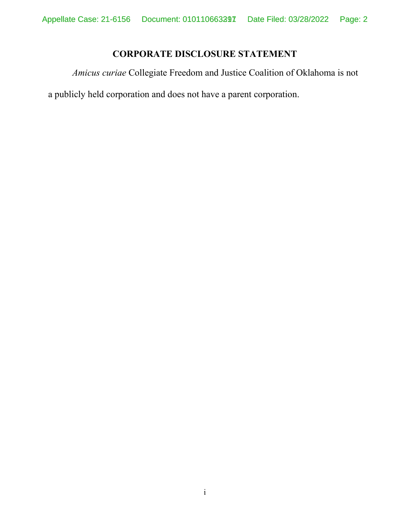## **CORPORATE DISCLOSURE STATEMENT**

<span id="page-1-0"></span>*Amicus curiae* Collegiate Freedom and Justice Coalition of Oklahoma is not

a publicly held corporation and does not have a parent corporation.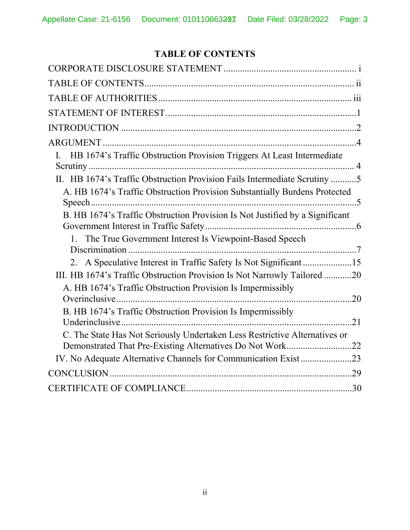## **TABLE OF CONTENTS**

<span id="page-2-0"></span>

| HB 1674's Traffic Obstruction Provision Triggers At Least Intermediate<br>L.                                                            |
|-----------------------------------------------------------------------------------------------------------------------------------------|
|                                                                                                                                         |
| A. HB 1674's Traffic Obstruction Provision Substantially Burdens Protected                                                              |
| B. HB 1674's Traffic Obstruction Provision Is Not Justified by a Significant                                                            |
| 1. The True Government Interest Is Viewpoint-Based Speech                                                                               |
| 2. A Speculative Interest in Traffic Safety Is Not Significant 15                                                                       |
| III. HB 1674's Traffic Obstruction Provision Is Not Narrowly Tailored 20                                                                |
| A. HB 1674's Traffic Obstruction Provision Is Impermissibly                                                                             |
| B. HB 1674's Traffic Obstruction Provision Is Impermissibly                                                                             |
| C. The State Has Not Seriously Undertaken Less Restrictive Alternatives or<br>Demonstrated That Pre-Existing Alternatives Do Not Work22 |
| IV. No Adequate Alternative Channels for Communication Exist23                                                                          |
|                                                                                                                                         |
|                                                                                                                                         |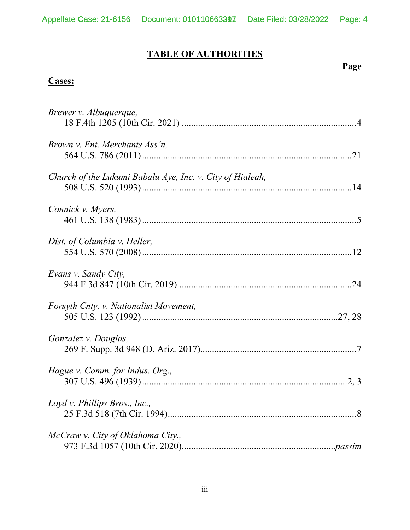# **TABLE OF AUTHORITIES**

## **Page**

## **Cases:**

| Brewer v. Albuquerque,                                    |
|-----------------------------------------------------------|
| Brown v. Ent. Merchants Ass'n,                            |
| Church of the Lukumi Babalu Aye, Inc. v. City of Hialeah, |
| Connick v. Myers,                                         |
| Dist. of Columbia v. Heller,                              |
| Evans v. Sandy City,                                      |
| Forsyth Cnty. v. Nationalist Movement,                    |
| Gonzalez v. Douglas,                                      |
| Hague v. Comm. for Indus. Org.,                           |
| Loyd v. Phillips Bros., Inc.,                             |
| McCraw v. City of Oklahoma City.,                         |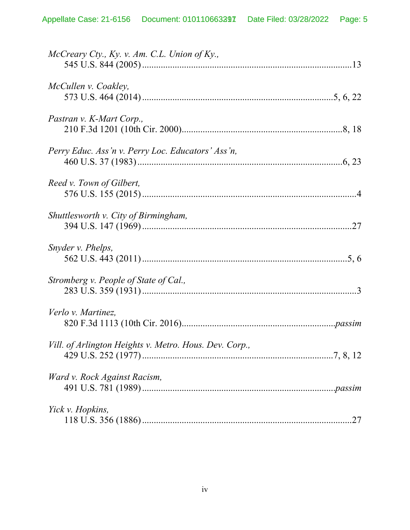| McCreary Cty., Ky. v. Am. C.L. Union of Ky.,           |
|--------------------------------------------------------|
| McCullen v. Coakley,                                   |
| Pastran v. K-Mart Corp.,                               |
| Perry Educ. Ass'n v. Perry Loc. Educators' Ass'n,      |
| Reed v. Town of Gilbert,                               |
| Shuttlesworth v. City of Birmingham,                   |
| Snyder v. Phelps,                                      |
| Stromberg v. People of State of Cal.,                  |
| Verlo v. Martinez,                                     |
| Vill. of Arlington Heights v. Metro. Hous. Dev. Corp., |
| Ward v. Rock Against Racism,                           |
| Yick v. Hopkins,                                       |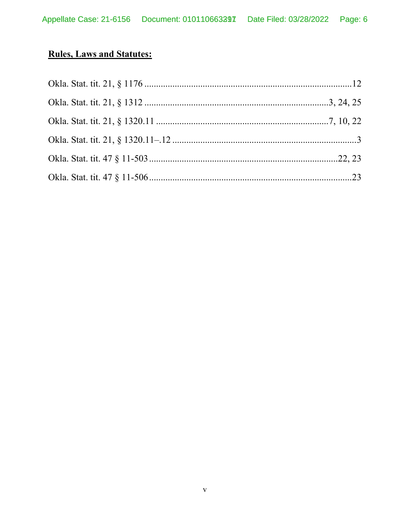# **Rules, Laws and Statutes:**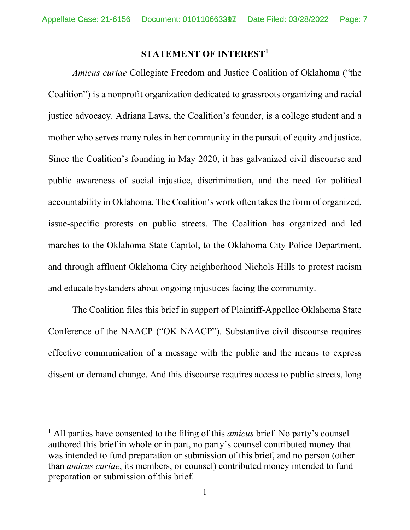#### **STATEMENT OF INTERES[T1](#page-6-1)**

<span id="page-6-0"></span>*Amicus curiae* Collegiate Freedom and Justice Coalition of Oklahoma ("the Coalition") is a nonprofit organization dedicated to grassroots organizing and racial justice advocacy. Adriana Laws, the Coalition's founder, is a college student and a mother who serves many roles in her community in the pursuit of equity and justice. Since the Coalition's founding in May 2020, it has galvanized civil discourse and public awareness of social injustice, discrimination, and the need for political accountability in Oklahoma. The Coalition's work often takes the form of organized, issue-specific protests on public streets. The Coalition has organized and led marches to the Oklahoma State Capitol, to the Oklahoma City Police Department, and through affluent Oklahoma City neighborhood Nichols Hills to protest racism and educate bystanders about ongoing injustices facing the community.

The Coalition files this brief in support of Plaintiff-Appellee Oklahoma State Conference of the NAACP ("OK NAACP"). Substantive civil discourse requires effective communication of a message with the public and the means to express dissent or demand change. And this discourse requires access to public streets, long

<span id="page-6-1"></span><sup>1</sup> All parties have consented to the filing of this *amicus* brief. No party's counsel authored this brief in whole or in part, no party's counsel contributed money that was intended to fund preparation or submission of this brief, and no person (other than *amicus curiae*, its members, or counsel) contributed money intended to fund preparation or submission of this brief.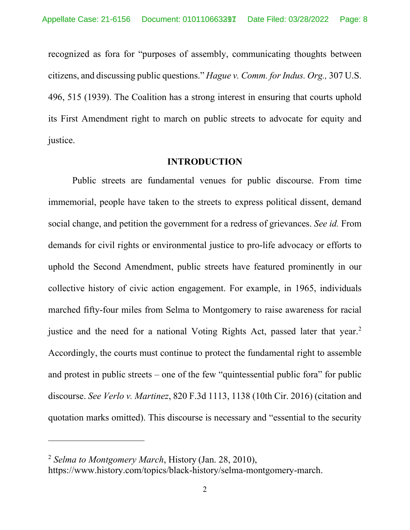recognized as fora for "purposes of assembly, communicating thoughts between citizens, and discussing public questions." *Hague v. Comm. for Indus. Org.,* 307 U.S. 496, 515 (1939). The Coalition has a strong interest in ensuring that courts uphold its First Amendment right to march on public streets to advocate for equity and justice.

#### **INTRODUCTION**

<span id="page-7-0"></span>Public streets are fundamental venues for public discourse. From time immemorial, people have taken to the streets to express political dissent, demand social change, and petition the government for a redress of grievances. *See id.* From demands for civil rights or environmental justice to pro-life advocacy or efforts to uphold the Second Amendment, public streets have featured prominently in our collective history of civic action engagement. For example, in 1965, individuals marched fifty-four miles from Selma to Montgomery to raise awareness for racial justice and the need for a national Voting Rights Act, passed later that year.<sup>[2](#page-7-1)</sup> Accordingly, the courts must continue to protect the fundamental right to assemble and protest in public streets – one of the few "quintessential public fora" for public discourse. *See Verlo v. Martinez*, 820 F.3d 1113, 1138 (10th Cir. 2016) (citation and quotation marks omitted). This discourse is necessary and "essential to the security

<span id="page-7-1"></span><sup>2</sup> *Selma to Montgomery March*, History (Jan. 28, 2010),

https://www.history.com/topics/black-history/selma-montgomery-march.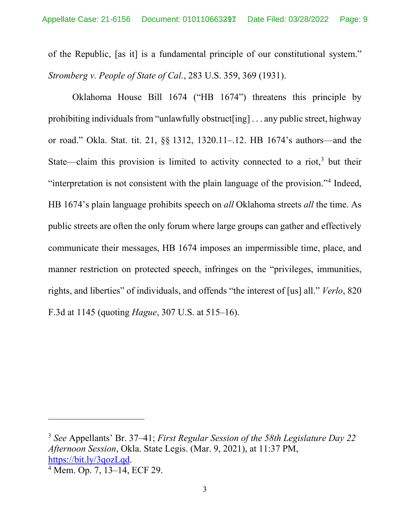of the Republic, [as it] is a fundamental principle of our constitutional system." *Stromberg v. People of State of Cal.*, 283 U.S. 359, 369 (1931).

Oklahoma House Bill 1674 ("HB 1674") threatens this principle by prohibiting individuals from "unlawfully obstruct[ing] . . . any public street, highway or road." Okla. Stat. tit. 21, §§ 1312, 1320.11–.12. HB 1674's authors—and the State—claim this provision is limited to activity connected to a riot, $3$  but their "interpretation is not consistent with the plain language of the provision."[4](#page-8-1) Indeed, HB 1674's plain language prohibits speech on *all* Oklahoma streets *all* the time. As public streets are often the only forum where large groups can gather and effectively communicate their messages, HB 1674 imposes an impermissible time, place, and manner restriction on protected speech, infringes on the "privileges, immunities, rights, and liberties" of individuals, and offends "the interest of [us] all." *Verlo*, 820 F.3d at 1145 (quoting *Hague*, 307 U.S. at 515–16).

<span id="page-8-0"></span><sup>3</sup> *See* Appellants' Br. 37–41; *First Regular Session of the 58th Legislature Day 22 Afternoon Session*, Okla. State Legis. (Mar. 9, 2021), at 11:37 PM, [https://bit.ly/3qozLqd.](https://bit.ly/3qozLqd)

<span id="page-8-1"></span><sup>4</sup> Mem. Op. 7, 13–14, ECF 29.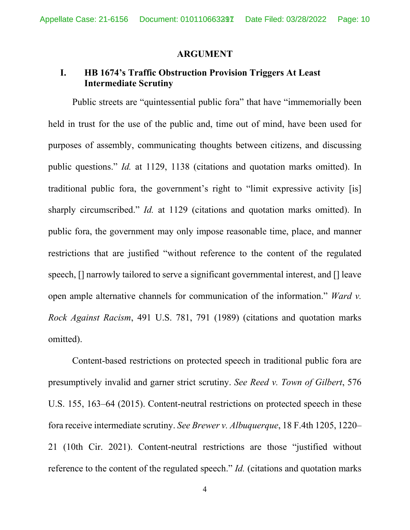#### <span id="page-9-1"></span>**ARGUMENT**

### <span id="page-9-0"></span>**I. HB 1674's Traffic Obstruction Provision Triggers At Least Intermediate Scrutiny**

Public streets are "quintessential public fora" that have "immemorially been held in trust for the use of the public and, time out of mind, have been used for purposes of assembly, communicating thoughts between citizens, and discussing public questions." *Id.* at 1129, 1138 (citations and quotation marks omitted). In traditional public fora, the government's right to "limit expressive activity [is] sharply circumscribed." *Id.* at 1129 (citations and quotation marks omitted). In public fora, the government may only impose reasonable time, place, and manner restrictions that are justified "without reference to the content of the regulated speech, [] narrowly tailored to serve a significant governmental interest, and [] leave open ample alternative channels for communication of the information." *Ward v. Rock Against Racism*, 491 U.S. 781, 791 (1989) (citations and quotation marks omitted).

Content-based restrictions on protected speech in traditional public fora are presumptively invalid and garner strict scrutiny. *See Reed v. Town of Gilbert*, 576 U.S. 155, 163–64 (2015). Content-neutral restrictions on protected speech in these fora receive intermediate scrutiny. *See Brewer v. Albuquerque*, 18 F.4th 1205, 1220– 21 (10th Cir. 2021). Content-neutral restrictions are those "justified without reference to the content of the regulated speech." *Id.* (citations and quotation marks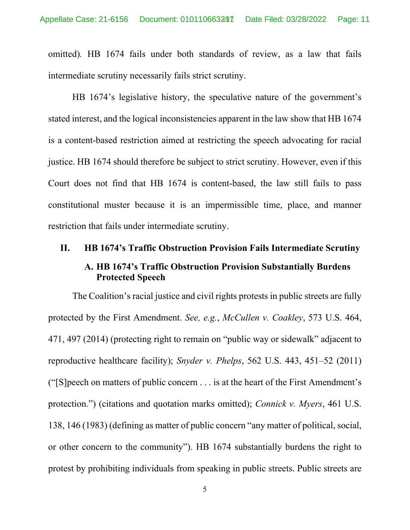omitted)*.* HB 1674 fails under both standards of review, as a law that fails intermediate scrutiny necessarily fails strict scrutiny.

HB 1674's legislative history, the speculative nature of the government's stated interest, and the logical inconsistencies apparent in the law show that HB 1674 is a content-based restriction aimed at restricting the speech advocating for racial justice. HB 1674 should therefore be subject to strict scrutiny. However, even if this Court does not find that HB 1674 is content-based, the law still fails to pass constitutional muster because it is an impermissible time, place, and manner restriction that fails under intermediate scrutiny.

# <span id="page-10-1"></span><span id="page-10-0"></span>**II. HB 1674's Traffic Obstruction Provision Fails Intermediate Scrutiny A. HB 1674's Traffic Obstruction Provision Substantially Burdens Protected Speech**

The Coalition's racial justice and civil rights protests in public streets are fully protected by the First Amendment. *See, e.g.*, *McCullen v. Coakley*, 573 U.S. 464, 471, 497 (2014) (protecting right to remain on "public way or sidewalk" adjacent to reproductive healthcare facility); *Snyder v. Phelps*, 562 U.S. 443, 451–52 (2011) (" $[S]$ peech on matters of public concern . . . is at the heart of the First Amendment's protection.") (citations and quotation marks omitted); *Connick v. Myers*, 461 U.S. 138, 146 (1983) (defining as matter of public concern "any matter of political, social, or other concern to the community"). HB 1674 substantially burdens the right to protest by prohibiting individuals from speaking in public streets. Public streets are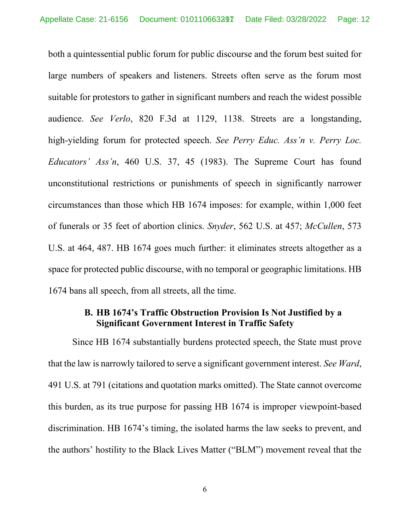both a quintessential public forum for public discourse and the forum best suited for large numbers of speakers and listeners. Streets often serve as the forum most suitable for protestors to gather in significant numbers and reach the widest possible audience. *See Verlo*, 820 F.3d at 1129, 1138. Streets are a longstanding, high-yielding forum for protected speech. *See Perry Educ. Ass'n v. Perry Loc. Educators' Ass'n*, 460 U.S. 37, 45 (1983). The Supreme Court has found unconstitutional restrictions or punishments of speech in significantly narrower circumstances than those which HB 1674 imposes: for example, within 1,000 feet of funerals or 35 feet of abortion clinics. *Snyder*, 562 U.S. at 457; *McCullen*, 573 U.S. at 464, 487. HB 1674 goes much further: it eliminates streets altogether as a space for protected public discourse, with no temporal or geographic limitations. HB 1674 bans all speech, from all streets, all the time.

### <span id="page-11-0"></span>**B. HB 1674's Traffic Obstruction Provision Is Not Justified by a Significant Government Interest in Traffic Safety**

Since HB 1674 substantially burdens protected speech, the State must prove that the law is narrowly tailored to serve a significant government interest. *See Ward*, 491 U.S. at 791 (citations and quotation marks omitted). The State cannot overcome this burden, as its true purpose for passing HB 1674 is improper viewpoint-based discrimination. HB 1674's timing, the isolated harms the law seeks to prevent, and the authors' hostility to the Black Lives Matter ("BLM") movement reveal that the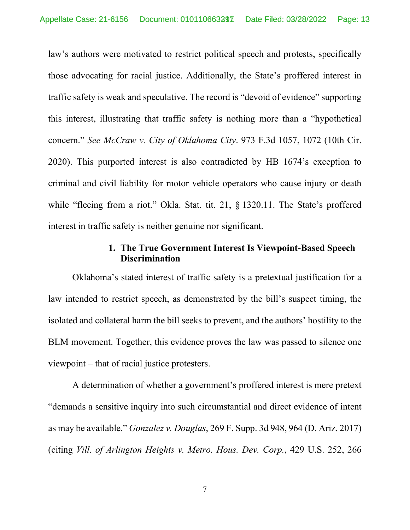law's authors were motivated to restrict political speech and protests, specifically those advocating for racial justice. Additionally, the State's proffered interest in traffic safety is weak and speculative. The record is "devoid of evidence" supporting this interest, illustrating that traffic safety is nothing more than a "hypothetical concern." *See McCraw v. City of Oklahoma City*. 973 F.3d 1057, 1072 (10th Cir. 2020). This purported interest is also contradicted by HB 1674's exception to criminal and civil liability for motor vehicle operators who cause injury or death while "fleeing from a riot." Okla. Stat. tit. 21, § 1320.11. The State's proffered interest in traffic safety is neither genuine nor significant.

#### **1. The True Government Interest Is Viewpoint-Based Speech Discrimination**

<span id="page-12-0"></span>Oklahoma's stated interest of traffic safety is a pretextual justification for a law intended to restrict speech, as demonstrated by the bill's suspect timing, the isolated and collateral harm the bill seeks to prevent, and the authors' hostility to the BLM movement. Together, this evidence proves the law was passed to silence one viewpoint – that of racial justice protesters.

A determination of whether a government's proffered interest is mere pretext "demands a sensitive inquiry into such circumstantial and direct evidence of intent as may be available." *Gonzalez v. Douglas*, 269 F. Supp. 3d 948, 964 (D. Ariz. 2017) (citing *Vill. of Arlington Heights v. Metro. Hous. Dev. Corp.*, 429 U.S. 252, 266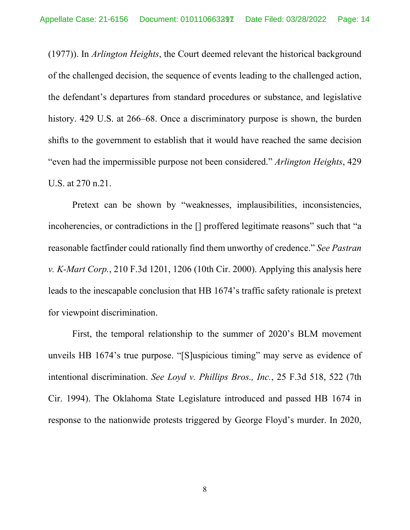(1977)). In *Arlington Heights*, the Court deemed relevant the historical background of the challenged decision, the sequence of events leading to the challenged action, the defendant's departures from standard procedures or substance, and legislative history. 429 U.S. at 266–68. Once a discriminatory purpose is shown, the burden shifts to the government to establish that it would have reached the same decision "even had the impermissible purpose not been considered." *Arlington Heights*, 429 U.S. at 270 n.21.

Pretext can be shown by "weaknesses, implausibilities, inconsistencies, incoherencies, or contradictions in the [] proffered legitimate reasons" such that "a reasonable factfinder could rationally find them unworthy of credence." *See Pastran v. K-Mart Corp.*, 210 F.3d 1201, 1206 (10th Cir. 2000). Applying this analysis here leads to the inescapable conclusion that HB 1674's traffic safety rationale is pretext for viewpoint discrimination.

First, the temporal relationship to the summer of 2020's BLM movement unveils HB 1674's true purpose. "[S]uspicious timing" may serve as evidence of intentional discrimination. *See Loyd v. Phillips Bros., Inc.*, 25 F.3d 518, 522 (7th Cir. 1994). The Oklahoma State Legislature introduced and passed HB 1674 in response to the nationwide protests triggered by George Floyd's murder. In 2020,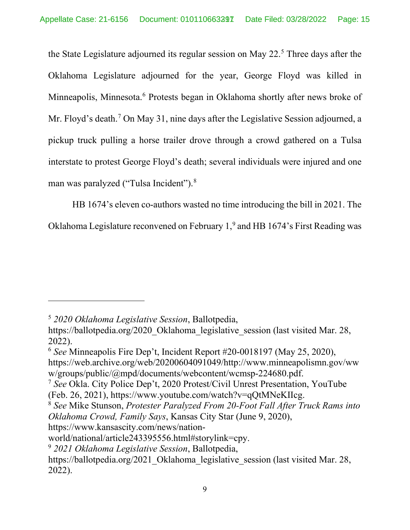the State Legislature adjourned its regular session on May 22.<sup>[5](#page-14-0)</sup> Three days after the Oklahoma Legislature adjourned for the year, George Floyd was killed in Minneapolis, Minnesota.<sup>[6](#page-14-1)</sup> Protests began in Oklahoma shortly after news broke of Mr. Floyd's death.<sup>[7](#page-14-2)</sup> On May 31, nine days after the Legislative Session adjourned, a pickup truck pulling a horse trailer drove through a crowd gathered on a Tulsa interstate to protest George Floyd's death; several individuals were injured and one man was paralyzed ("Tulsa Incident").[8](#page-14-3)

HB 1674's eleven co-authors wasted no time introducing the bill in 2021. The Oklahoma Legislature reconvened on February 1,<sup>[9](#page-14-4)</sup> and HB 1674's First Reading was

https://www.kansascity.com/news/nation-

<span id="page-14-0"></span><sup>5</sup> *2020 Oklahoma Legislative Session*, Ballotpedia,

https://ballotpedia.org/2020\_Oklahoma\_legislative\_session (last visited Mar. 28, 2022).

<span id="page-14-1"></span><sup>6</sup> *See* Minneapolis Fire Dep't, Incident Report #20-0018197 (May 25, 2020), https://web.archive.org/web/20200604091049/http://www.minneapolismn.gov/ww

w/groups/public/@mpd/documents/webcontent/wcmsp-224680.pdf.

<span id="page-14-2"></span><sup>7</sup> *See* Okla. City Police Dep't, 2020 Protest/Civil Unrest Presentation, YouTube (Feb. 26, 2021), https://www.youtube.com/watch?v=qQtMNeKIIcg.

<span id="page-14-3"></span><sup>8</sup> *See* Mike Stunson, *Protester Paralyzed From 20-Foot Fall After Truck Rams into Oklahoma Crowd, Family Says*, Kansas City Star (June 9, 2020),

world/national/article243395556.html#storylink=cpy.

<span id="page-14-4"></span><sup>9</sup> *2021 Oklahoma Legislative Session*, Ballotpedia,

https://ballotpedia.org/2021\_Oklahoma\_legislative\_session (last visited Mar. 28, 2022).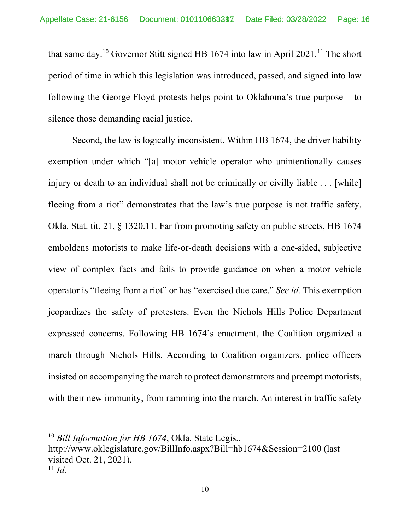that same day.<sup>[10](#page-15-0)</sup> Governor Stitt signed HB 1674 into law in April 2021.<sup>[11](#page-15-1)</sup> The short period of time in which this legislation was introduced, passed, and signed into law following the George Floyd protests helps point to Oklahoma's true purpose – to silence those demanding racial justice.

Second, the law is logically inconsistent. Within HB 1674, the driver liability exemption under which "[a] motor vehicle operator who unintentionally causes injury or death to an individual shall not be criminally or civilly liable . . . [while] fleeing from a riot" demonstrates that the law's true purpose is not traffic safety. Okla. Stat. tit. 21, § 1320.11. Far from promoting safety on public streets, HB 1674 emboldens motorists to make life-or-death decisions with a one-sided, subjective view of complex facts and fails to provide guidance on when a motor vehicle operator is "fleeing from a riot" or has "exercised due care." *See id.* This exemption jeopardizes the safety of protesters. Even the Nichols Hills Police Department expressed concerns. Following HB 1674's enactment, the Coalition organized a march through Nichols Hills. According to Coalition organizers, police officers insisted on accompanying the march to protect demonstrators and preempt motorists, with their new immunity, from ramming into the march. An interest in traffic safety

http://www.oklegislature.gov/BillInfo.aspx?Bill=hb1674&Session=2100 (last visited Oct. 21, 2021).

<span id="page-15-0"></span><sup>10</sup> *Bill Information for HB 1674*, Okla. State Legis.,

<span id="page-15-1"></span> $^{11}$  *Id.*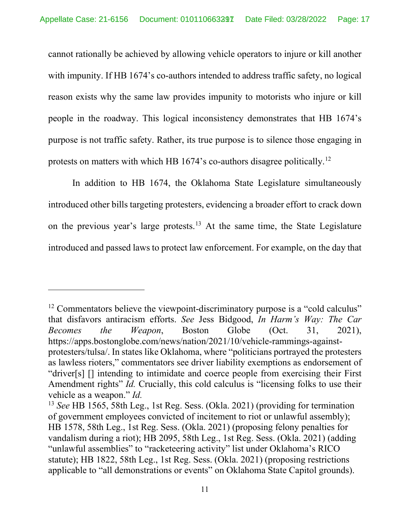cannot rationally be achieved by allowing vehicle operators to injure or kill another with impunity. If HB 1674's co-authors intended to address traffic safety, no logical reason exists why the same law provides impunity to motorists who injure or kill people in the roadway. This logical inconsistency demonstrates that HB 1674's purpose is not traffic safety. Rather, its true purpose is to silence those engaging in protests on matters with which HB 1674's co-authors disagree politically.[12](#page-16-0)

In addition to HB 1674, the Oklahoma State Legislature simultaneously introduced other bills targeting protesters, evidencing a broader effort to crack down on the previous year's large protests.<sup>[13](#page-16-1)</sup> At the same time, the State Legislature introduced and passed laws to protect law enforcement. For example, on the day that

<span id="page-16-0"></span> $12$  Commentators believe the viewpoint-discriminatory purpose is a "cold calculus" that disfavors antiracism efforts. *See* Jess Bidgood, *In Harm's Way: The Car Becomes the Weapon*, Boston Globe (Oct. 31, 2021), https://apps.bostonglobe.com/news/nation/2021/10/vehicle-rammings-againstprotesters/tulsa/. In states like Oklahoma, where "politicians portrayed the protesters as lawless rioters," commentators see driver liability exemptions as endorsement of "driver[s] [] intending to intimidate and coerce people from exercising their First Amendment rights" *Id.* Crucially, this cold calculus is "licensing folks to use their vehicle as a weapon." *Id.*

<span id="page-16-1"></span><sup>13</sup> *See* HB 1565, 58th Leg., 1st Reg. Sess. (Okla. 2021) (providing for termination of government employees convicted of incitement to riot or unlawful assembly); HB 1578, 58th Leg., 1st Reg. Sess. (Okla. 2021) (proposing felony penalties for vandalism during a riot); HB 2095, 58th Leg., 1st Reg. Sess. (Okla. 2021) (adding "unlawful assemblies" to "racketeering activity" list under Oklahoma's RICO statute); HB 1822, 58th Leg., 1st Reg. Sess. (Okla. 2021) (proposing restrictions applicable to "all demonstrations or events" on Oklahoma State Capitol grounds).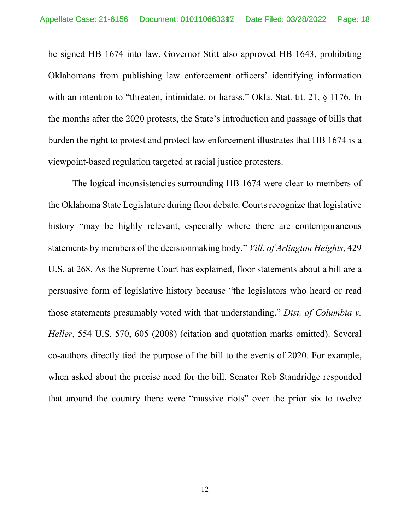he signed HB 1674 into law, Governor Stitt also approved HB 1643, prohibiting Oklahomans from publishing law enforcement officers' identifying information with an intention to "threaten, intimidate, or harass." Okla. Stat. tit. 21, § 1176. In the months after the 2020 protests, the State's introduction and passage of bills that burden the right to protest and protect law enforcement illustrates that HB 1674 is a viewpoint-based regulation targeted at racial justice protesters.

The logical inconsistencies surrounding HB 1674 were clear to members of the Oklahoma State Legislature during floor debate. Courts recognize that legislative history "may be highly relevant, especially where there are contemporaneous statements by members of the decisionmaking body." *Vill. of Arlington Heights*, 429 U.S. at 268. As the Supreme Court has explained, floor statements about a bill are a persuasive form of legislative history because "the legislators who heard or read those statements presumably voted with that understanding." *Dist. of Columbia v. Heller*, 554 U.S. 570, 605 (2008) (citation and quotation marks omitted). Several co-authors directly tied the purpose of the bill to the events of 2020. For example, when asked about the precise need for the bill, Senator Rob Standridge responded that around the country there were "massive riots" over the prior six to twelve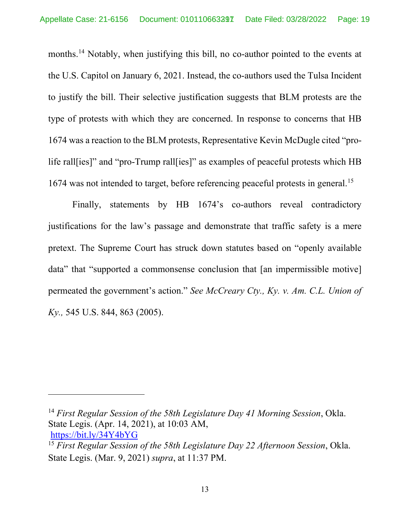months.<sup>[14](#page-18-0)</sup> Notably, when justifying this bill, no co-author pointed to the events at the U.S. Capitol on January 6, 2021. Instead, the co-authors used the Tulsa Incident to justify the bill. Their selective justification suggests that BLM protests are the type of protests with which they are concerned. In response to concerns that HB 1674 was a reaction to the BLM protests, Representative Kevin McDugle cited "prolife rall[ies]" and "pro-Trump rall[ies]" as examples of peaceful protests which HB 1674 was not intended to target, before referencing peaceful protests in general.[15](#page-18-1)

Finally, statements by HB 1674's co-authors reveal contradictory justifications for the law's passage and demonstrate that traffic safety is a mere pretext. The Supreme Court has struck down statutes based on "openly available data" that "supported a commonsense conclusion that [an impermissible motive] permeated the government's action." *See McCreary Cty., Ky. v. Am. C.L. Union of Ky.,* 545 U.S. 844, 863 (2005).

<span id="page-18-0"></span><sup>14</sup> *First Regular Session of the 58th Legislature Day 41 Morning Session*, Okla. State Legis. (Apr. 14, 2021), at 10:03 AM, <https://bit.ly/34Y4bYG>

<span id="page-18-1"></span><sup>15</sup> *First Regular Session of the 58th Legislature Day 22 Afternoon Session*, Okla. State Legis. (Mar. 9, 2021) *supra*, at 11:37 PM.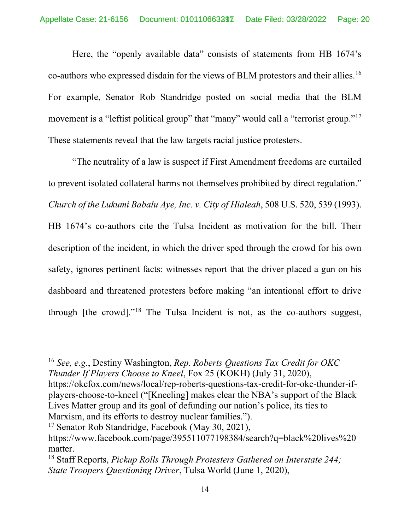Here, the "openly available data" consists of statements from HB 1674's co-authors who expressed disdain for the views of BLM protestors and their allies.[16](#page-19-0) For example, Senator Rob Standridge posted on social media that the BLM movement is a "leftist political group" that "many" would call a "terrorist group."<sup>[17](#page-19-1)</sup> These statements reveal that the law targets racial justice protesters.

"The neutrality of a law is suspect if First Amendment freedoms are curtailed to prevent isolated collateral harms not themselves prohibited by direct regulation." *Church of the Lukumi Babalu Aye, Inc. v. City of Hialeah*, 508 U.S. 520, 539 (1993). HB 1674's co-authors cite the Tulsa Incident as motivation for the bill. Their description of the incident, in which the driver sped through the crowd for his own safety, ignores pertinent facts: witnesses report that the driver placed a gun on his dashboard and threatened protesters before making "an intentional effort to drive through [the crowd]."[18](#page-19-2) The Tulsa Incident is not, as the co-authors suggest,

<span id="page-19-1"></span><sup>17</sup> Senator Rob Standridge, Facebook (May 30, 2021),

<span id="page-19-0"></span><sup>16</sup> *See, e.g.*, Destiny Washington, *Rep. Roberts Questions Tax Credit for OKC Thunder If Players Choose to Kneel*, Fox 25 (KOKH) (July 31, 2020),

https://okcfox.com/news/local/rep-roberts-questions-tax-credit-for-okc-thunder-ifplayers-choose-to-kneel ("[Kneeling] makes clear the NBA's support of the Black Lives Matter group and its goal of defunding our nation's police, its ties to Marxism, and its efforts to destroy nuclear families.").

https://www.facebook.com/page/395511077198384/search?q=black%20lives%20 matter.

<span id="page-19-2"></span><sup>18</sup> Staff Reports, *Pickup Rolls Through Protesters Gathered on Interstate 244; State Troopers Questioning Driver*, Tulsa World (June 1, 2020),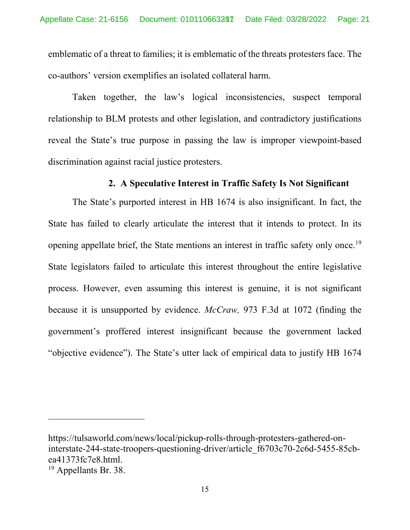emblematic of a threat to families; it is emblematic of the threats protesters face. The co-authors' version exemplifies an isolated collateral harm.

Taken together, the law's logical inconsistencies, suspect temporal relationship to BLM protests and other legislation, and contradictory justifications reveal the State's true purpose in passing the law is improper viewpoint-based discrimination against racial justice protesters.

### **2. A Speculative Interest in Traffic Safety Is Not Significant**

<span id="page-20-0"></span>The State's purported interest in HB 1674 is also insignificant. In fact, the State has failed to clearly articulate the interest that it intends to protect. In its opening appellate brief, the State mentions an interest in traffic safety only once.<sup>[19](#page-20-1)</sup> State legislators failed to articulate this interest throughout the entire legislative process. However, even assuming this interest is genuine, it is not significant because it is unsupported by evidence. *McCraw,* 973 F.3d at 1072 (finding the government's proffered interest insignificant because the government lacked "objective evidence"). The State's utter lack of empirical data to justify HB 1674

https://tulsaworld.com/news/local/pickup-rolls-through-protesters-gathered-oninterstate-244-state-troopers-questioning-driver/article\_f6703c70-2c6d-5455-85cbea41373fc7e8.html.

<span id="page-20-1"></span><sup>&</sup>lt;sup>19</sup> Appellants Br. 38.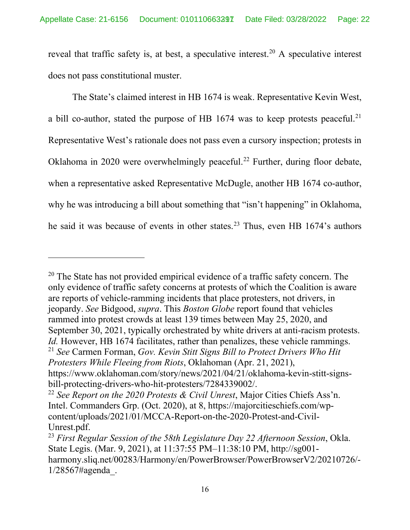reveal that traffic safety is, at best, a speculative interest.<sup>[20](#page-21-0)</sup> A speculative interest does not pass constitutional muster.

The State's claimed interest in HB 1674 is weak. Representative Kevin West, a bill co-author, stated the purpose of HB  $1674$  was to keep protests peaceful.<sup>[21](#page-21-1)</sup> Representative West's rationale does not pass even a cursory inspection; protests in Oklahoma in 2020 were overwhelmingly peaceful.<sup>[22](#page-21-2)</sup> Further, during floor debate, when a representative asked Representative McDugle, another HB 1674 co-author, why he was introducing a bill about something that "isn't happening" in Oklahoma, he said it was because of events in other states.<sup>[23](#page-21-3)</sup> Thus, even HB 1674's authors

<span id="page-21-0"></span><sup>&</sup>lt;sup>20</sup> The State has not provided empirical evidence of a traffic safety concern. The only evidence of traffic safety concerns at protests of which the Coalition is aware are reports of vehicle-ramming incidents that place protesters, not drivers, in jeopardy. *See* Bidgood, *supra*. This *Boston Globe* report found that vehicles rammed into protest crowds at least 139 times between May 25, 2020, and September 30, 2021, typically orchestrated by white drivers at anti-racism protests. *Id.* However, HB 1674 facilitates, rather than penalizes, these vehicle rammings. <sup>21</sup> *See* Carmen Forman, *Gov. Kevin Stitt Signs Bill to Protect Drivers Who Hit Protesters While Fleeing from Riots*, Oklahoman (Apr. 21, 2021), https://www.oklahoman.com/story/news/2021/04/21/oklahoma-kevin-stitt-signsbill-protecting-drivers-who-hit-protesters/7284339002/.

<span id="page-21-2"></span><span id="page-21-1"></span><sup>22</sup> *See Report on the 2020 Protests & Civil Unrest*, Major Cities Chiefs Ass'n. Intel. Commanders Grp. (Oct. 2020), at 8, https://majorcitieschiefs.com/wpcontent/uploads/2021/01/MCCA-Report-on-the-2020-Protest-and-Civil-Unrest.pdf.

<span id="page-21-3"></span><sup>23</sup> *First Regular Session of the 58th Legislature Day 22 Afternoon Session*, Okla. State Legis. (Mar. 9, 2021), at 11:37:55 PM–11:38:10 PM, http://sg001 harmony.sliq.net/00283/Harmony/en/PowerBrowser/PowerBrowserV2/20210726/- 1/28567#agenda\_.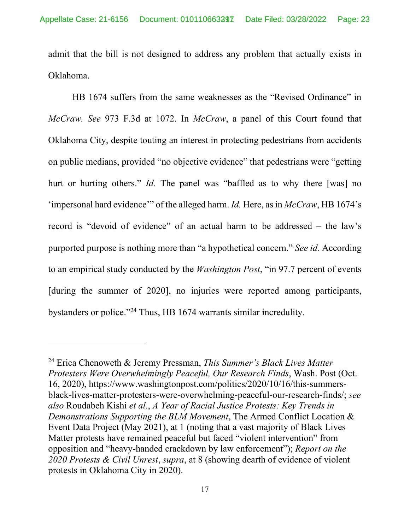admit that the bill is not designed to address any problem that actually exists in Oklahoma.

HB 1674 suffers from the same weaknesses as the "Revised Ordinance" in *McCraw. See* 973 F.3d at 1072. In *McCraw*, a panel of this Court found that Oklahoma City, despite touting an interest in protecting pedestrians from accidents on public medians, provided "no objective evidence" that pedestrians were "getting hurt or hurting others." *Id.* The panel was "baffled as to why there [was] no 'impersonal hard evidence'" of the alleged harm. *Id.* Here, as in *McCraw*, HB 1674's record is "devoid of evidence" of an actual harm to be addressed – the law's purported purpose is nothing more than "a hypothetical concern." *See id.* According to an empirical study conducted by the *Washington Post*, "in 97.7 percent of events [during the summer of 2020], no injuries were reported among participants, bystanders or police."[24](#page-22-0) Thus, HB 1674 warrants similar incredulity.

<span id="page-22-0"></span><sup>24</sup> Erica Chenoweth & Jeremy Pressman, *This Summer's Black Lives Matter Protesters Were Overwhelmingly Peaceful, Our Research Finds*, Wash. Post (Oct. 16, 2020), https://www.washingtonpost.com/politics/2020/10/16/this-summersblack-lives-matter-protesters-were-overwhelming-peaceful-our-research-finds/; *see also* Roudabeh Kishi *et al.*, *A Year of Racial Justice Protests: Key Trends in Demonstrations Supporting the BLM Movement*, The Armed Conflict Location & Event Data Project (May 2021), at 1 (noting that a vast majority of Black Lives Matter protests have remained peaceful but faced "violent intervention" from opposition and "heavy-handed crackdown by law enforcement"); *Report on the 2020 Protests & Civil Unrest*, *supra*, at 8 (showing dearth of evidence of violent protests in Oklahoma City in 2020).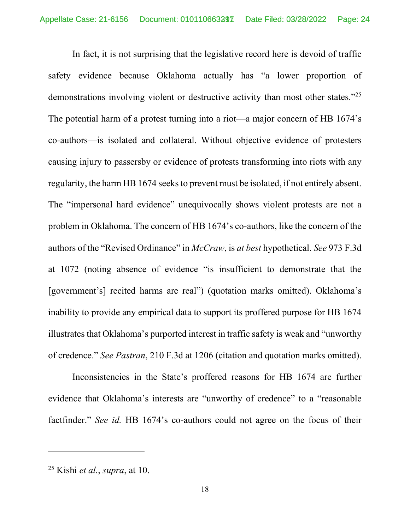In fact, it is not surprising that the legislative record here is devoid of traffic safety evidence because Oklahoma actually has "a lower proportion of demonstrations involving violent or destructive activity than most other states."<sup>[25](#page-23-0)</sup> The potential harm of a protest turning into a riot—a major concern of HB 1674's co-authors—is isolated and collateral. Without objective evidence of protesters causing injury to passersby or evidence of protests transforming into riots with any regularity, the harm HB 1674 seeks to prevent must be isolated, if not entirely absent. The "impersonal hard evidence" unequivocally shows violent protests are not a problem in Oklahoma. The concern of HB 1674's co-authors, like the concern of the authors of the "Revised Ordinance" in *McCraw*, is *at best* hypothetical. *See* 973 F.3d at 1072 (noting absence of evidence "is insufficient to demonstrate that the [government's] recited harms are real") (quotation marks omitted). Oklahoma's inability to provide any empirical data to support its proffered purpose for HB 1674 illustrates that Oklahoma's purported interest in traffic safety is weak and "unworthy of credence." *See Pastran*, 210 F.3d at 1206 (citation and quotation marks omitted).

Inconsistencies in the State's proffered reasons for HB 1674 are further evidence that Oklahoma's interests are "unworthy of credence" to a "reasonable factfinder." *See id.* HB 1674's co-authors could not agree on the focus of their

<span id="page-23-0"></span><sup>25</sup> Kishi *et al.*, *supra*, at 10.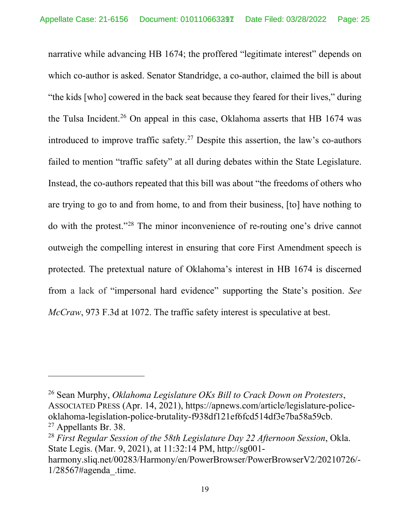narrative while advancing HB 1674; the proffered "legitimate interest" depends on which co-author is asked. Senator Standridge, a co-author, claimed the bill is about "the kids [who] cowered in the back seat because they feared for their lives," during the Tulsa Incident.<sup>[26](#page-24-0)</sup> On appeal in this case, Oklahoma asserts that HB 1674 was introduced to improve traffic safety.<sup>[27](#page-24-1)</sup> Despite this assertion, the law's co-authors failed to mention "traffic safety" at all during debates within the State Legislature. Instead, the co-authors repeated that this bill was about "the freedoms of others who are trying to go to and from home, to and from their business, [to] have nothing to do with the protest."[28](#page-24-2) The minor inconvenience of re-routing one's drive cannot outweigh the compelling interest in ensuring that core First Amendment speech is protected. The pretextual nature of Oklahoma's interest in HB 1674 is discerned from a lack of "impersonal hard evidence" supporting the State's position. *See McCraw*, 973 F.3d at 1072. The traffic safety interest is speculative at best.

<span id="page-24-0"></span><sup>26</sup> Sean Murphy, *Oklahoma Legislature OKs Bill to Crack Down on Protesters*, ASSOCIATED PRESS (Apr. 14, 2021), https://apnews.com/article/legislature-policeoklahoma-legislation-police-brutality-f938df121ef6fcd514df3e7ba58a59cb. <sup>27</sup> Appellants Br. 38.

<span id="page-24-2"></span><span id="page-24-1"></span><sup>28</sup> *First Regular Session of the 58th Legislature Day 22 Afternoon Session*, Okla. State Legis. (Mar. 9, 2021), at 11:32:14 PM, http://sg001-

harmony.sliq.net/00283/Harmony/en/PowerBrowser/PowerBrowserV2/20210726/-  $1/28567$ #agenda .time.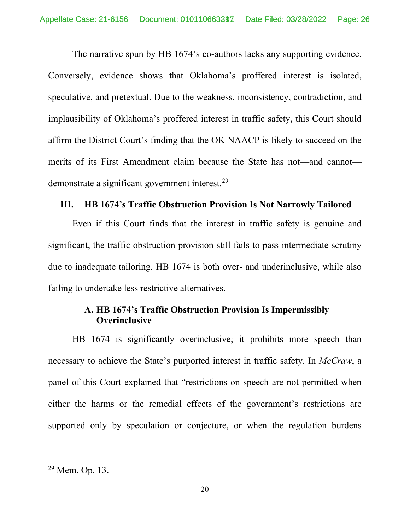The narrative spun by HB 1674's co-authors lacks any supporting evidence. Conversely, evidence shows that Oklahoma's proffered interest is isolated, speculative, and pretextual. Due to the weakness, inconsistency, contradiction, and implausibility of Oklahoma's proffered interest in traffic safety, this Court should affirm the District Court's finding that the OK NAACP is likely to succeed on the merits of its First Amendment claim because the State has not—and cannot— demonstrate a significant government interest.<sup>[29](#page-25-2)</sup>

#### <span id="page-25-0"></span>**III. HB 1674's Traffic Obstruction Provision Is Not Narrowly Tailored**

Even if this Court finds that the interest in traffic safety is genuine and significant, the traffic obstruction provision still fails to pass intermediate scrutiny due to inadequate tailoring. HB 1674 is both over- and underinclusive, while also failing to undertake less restrictive alternatives.

### <span id="page-25-1"></span>**A. HB 1674's Traffic Obstruction Provision Is Impermissibly Overinclusive**

HB 1674 is significantly overinclusive; it prohibits more speech than necessary to achieve the State's purported interest in traffic safety. In *McCraw*, a panel of this Court explained that "restrictions on speech are not permitted when either the harms or the remedial effects of the government's restrictions are supported only by speculation or conjecture, or when the regulation burdens

<span id="page-25-2"></span><sup>29</sup> Mem. Op. 13.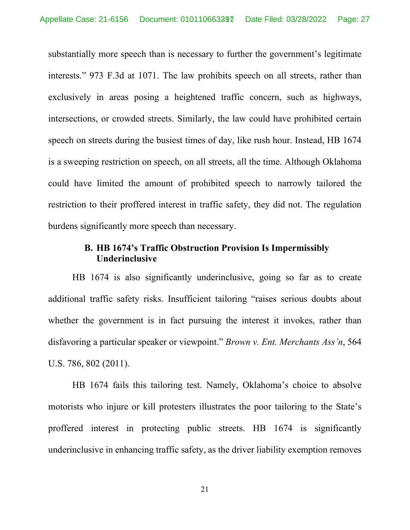substantially more speech than is necessary to further the government's legitimate interests." 973 F.3d at 1071. The law prohibits speech on all streets, rather than exclusively in areas posing a heightened traffic concern, such as highways, intersections, or crowded streets. Similarly, the law could have prohibited certain speech on streets during the busiest times of day, like rush hour. Instead, HB 1674 is a sweeping restriction on speech, on all streets, all the time. Although Oklahoma could have limited the amount of prohibited speech to narrowly tailored the restriction to their proffered interest in traffic safety, they did not. The regulation burdens significantly more speech than necessary.

### <span id="page-26-0"></span>**B. HB 1674's Traffic Obstruction Provision Is Impermissibly Underinclusive**

HB 1674 is also significantly underinclusive, going so far as to create additional traffic safety risks. Insufficient tailoring "raises serious doubts about whether the government is in fact pursuing the interest it invokes, rather than disfavoring a particular speaker or viewpoint." *Brown v. Ent. Merchants Ass'n*, 564 U.S. 786, 802 (2011).

HB 1674 fails this tailoring test. Namely, Oklahoma's choice to absolve motorists who injure or kill protesters illustrates the poor tailoring to the State's proffered interest in protecting public streets. HB 1674 is significantly underinclusive in enhancing traffic safety, as the driver liability exemption removes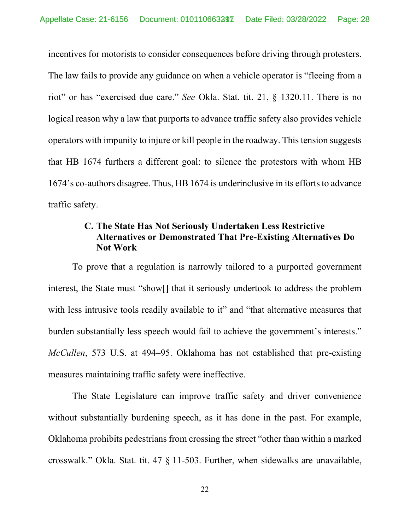incentives for motorists to consider consequences before driving through protesters. The law fails to provide any guidance on when a vehicle operator is "fleeing from a riot" or has "exercised due care." *See* Okla. Stat. tit. 21, § 1320.11. There is no logical reason why a law that purports to advance traffic safety also provides vehicle operators with impunity to injure or kill people in the roadway. This tension suggests that HB 1674 furthers a different goal: to silence the protestors with whom HB 1674's co-authors disagree. Thus, HB 1674 is underinclusive in its efforts to advance traffic safety.

### <span id="page-27-0"></span>**C. The State Has Not Seriously Undertaken Less Restrictive Alternatives or Demonstrated That Pre-Existing Alternatives Do Not Work**

To prove that a regulation is narrowly tailored to a purported government interest, the State must "show[] that it seriously undertook to address the problem with less intrusive tools readily available to it" and "that alternative measures that burden substantially less speech would fail to achieve the government's interests." *McCullen*, 573 U.S. at 494–95. Oklahoma has not established that pre-existing measures maintaining traffic safety were ineffective.

The State Legislature can improve traffic safety and driver convenience without substantially burdening speech, as it has done in the past. For example, Oklahoma prohibits pedestrians from crossing the street "other than within a marked crosswalk." Okla. Stat. tit. 47 § 11-503. Further, when sidewalks are unavailable,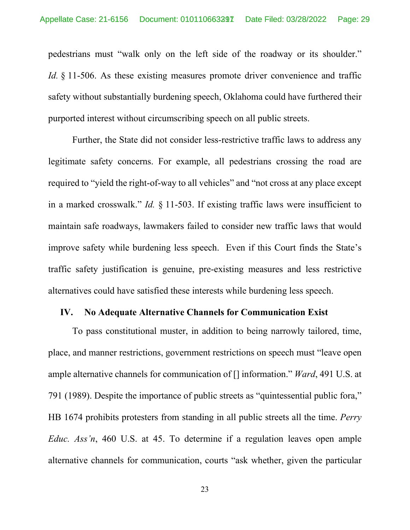pedestrians must "walk only on the left side of the roadway or its shoulder." *Id.* § 11-506. As these existing measures promote driver convenience and traffic safety without substantially burdening speech, Oklahoma could have furthered their purported interest without circumscribing speech on all public streets.

Further, the State did not consider less-restrictive traffic laws to address any legitimate safety concerns. For example, all pedestrians crossing the road are required to "yield the right-of-way to all vehicles" and "not cross at any place except in a marked crosswalk." *Id.* § 11-503. If existing traffic laws were insufficient to maintain safe roadways, lawmakers failed to consider new traffic laws that would improve safety while burdening less speech. Even if this Court finds the State's traffic safety justification is genuine, pre-existing measures and less restrictive alternatives could have satisfied these interests while burdening less speech.

#### <span id="page-28-0"></span>**IV. No Adequate Alternative Channels for Communication Exist**

To pass constitutional muster, in addition to being narrowly tailored, time, place, and manner restrictions, government restrictions on speech must "leave open ample alternative channels for communication of [] information." *Ward*, 491 U.S. at 791 (1989). Despite the importance of public streets as "quintessential public fora," HB 1674 prohibits protesters from standing in all public streets all the time. *Perry Educ. Ass'n*, 460 U.S. at 45. To determine if a regulation leaves open ample alternative channels for communication, courts "ask whether, given the particular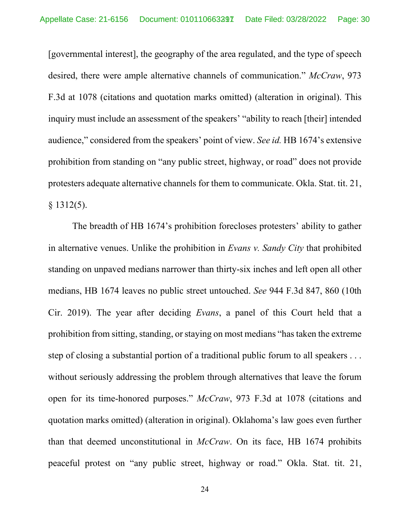[governmental interest], the geography of the area regulated, and the type of speech desired, there were ample alternative channels of communication." *McCraw*, 973 F.3d at 1078 (citations and quotation marks omitted) (alteration in original). This inquiry must include an assessment of the speakers' "ability to reach [their] intended audience," considered from the speakers' point of view. *See id.* HB 1674's extensive prohibition from standing on "any public street, highway, or road" does not provide protesters adequate alternative channels for them to communicate. Okla. Stat. tit. 21,  $§$  1312(5).

The breadth of HB 1674's prohibition forecloses protesters' ability to gather in alternative venues. Unlike the prohibition in *Evans v. Sandy City* that prohibited standing on unpaved medians narrower than thirty-six inches and left open all other medians, HB 1674 leaves no public street untouched. *See* 944 F.3d 847, 860 (10th Cir. 2019). The year after deciding *Evans*, a panel of this Court held that a prohibition from sitting, standing, or staying on most medians "has taken the extreme step of closing a substantial portion of a traditional public forum to all speakers . . . without seriously addressing the problem through alternatives that leave the forum open for its time-honored purposes." *McCraw*, 973 F.3d at 1078 (citations and quotation marks omitted) (alteration in original). Oklahoma's law goes even further than that deemed unconstitutional in *McCraw*. On its face, HB 1674 prohibits peaceful protest on "any public street, highway or road." Okla. Stat. tit. 21,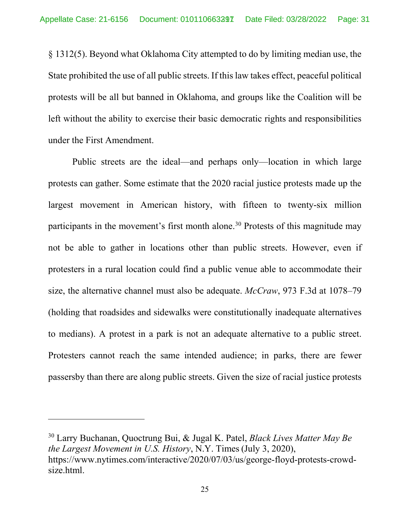§ 1312(5). Beyond what Oklahoma City attempted to do by limiting median use, the State prohibited the use of all public streets. If this law takes effect, peaceful political protests will be all but banned in Oklahoma, and groups like the Coalition will be left without the ability to exercise their basic democratic rights and responsibilities under the First Amendment.

Public streets are the ideal—and perhaps only—location in which large protests can gather. Some estimate that the 2020 racial justice protests made up the largest movement in American history, with fifteen to twenty-six million participants in the movement's first month alone.<sup>[30](#page-30-0)</sup> Protests of this magnitude may not be able to gather in locations other than public streets. However, even if protesters in a rural location could find a public venue able to accommodate their size, the alternative channel must also be adequate. *McCraw*, 973 F.3d at 1078–79 (holding that roadsides and sidewalks were constitutionally inadequate alternatives to medians). A protest in a park is not an adequate alternative to a public street. Protesters cannot reach the same intended audience; in parks, there are fewer passersby than there are along public streets. Given the size of racial justice protests

<span id="page-30-0"></span><sup>30</sup> Larry Buchanan, Quoctrung Bui, & Jugal K. Patel, *Black Lives Matter May Be the Largest Movement in U.S. History*, N.Y. Times (July 3, 2020), https://www.nytimes.com/interactive/2020/07/03/us/george-floyd-protests-crowdsize.html.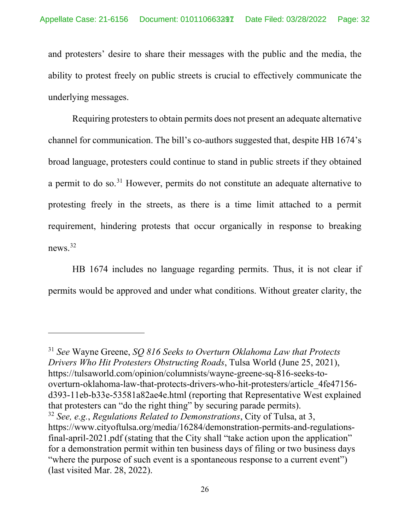and protesters' desire to share their messages with the public and the media, the ability to protest freely on public streets is crucial to effectively communicate the underlying messages.

Requiring protesters to obtain permits does not present an adequate alternative channel for communication. The bill's co-authors suggested that, despite HB 1674's broad language, protesters could continue to stand in public streets if they obtained a permit to do so.[31](#page-31-0) However, permits do not constitute an adequate alternative to protesting freely in the streets, as there is a time limit attached to a permit requirement, hindering protests that occur organically in response to breaking news.[32](#page-31-1)

HB 1674 includes no language regarding permits. Thus, it is not clear if permits would be approved and under what conditions. Without greater clarity, the

<span id="page-31-0"></span><sup>31</sup> *See* Wayne Greene, *SQ 816 Seeks to Overturn Oklahoma Law that Protects Drivers Who Hit Protesters Obstructing Roads*, Tulsa World (June 25, 2021), https://tulsaworld.com/opinion/columnists/wayne-greene-sq-816-seeks-tooverturn-oklahoma-law-that-protects-drivers-who-hit-protesters/article\_4fe47156 d393-11eb-b33e-53581a82ae4e.html (reporting that Representative West explained that protesters can "do the right thing" by securing parade permits). <sup>32</sup> *See, e.g.*, *Regulations Related to Demonstrations*, City of Tulsa, at 3, https://www.cityoftulsa.org/media/16284/demonstration-permits-and-regulationsfinal-april-2021.pdf (stating that the City shall "take action upon the application" for a demonstration permit within ten business days of filing or two business days

<span id="page-31-1"></span>"where the purpose of such event is a spontaneous response to a current event") (last visited Mar. 28, 2022).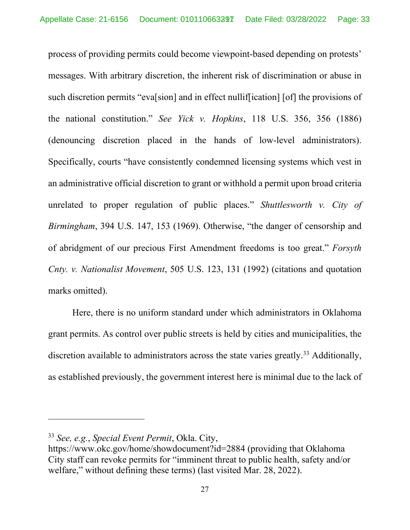process of providing permits could become viewpoint-based depending on protests' messages. With arbitrary discretion, the inherent risk of discrimination or abuse in such discretion permits "evalsion] and in effect nulliffication] [of] the provisions of the national constitution." *See Yick v. Hopkins*, 118 U.S. 356, 356 (1886) (denouncing discretion placed in the hands of low-level administrators). Specifically, courts "have consistently condemned licensing systems which vest in an administrative official discretion to grant or withhold a permit upon broad criteria unrelated to proper regulation of public places." *Shuttlesworth v. City of Birmingham*, 394 U.S. 147, 153 (1969). Otherwise, "the danger of censorship and of abridgment of our precious First Amendment freedoms is too great." *Forsyth Cnty. v. Nationalist Movement*, 505 U.S. 123, 131 (1992) (citations and quotation marks omitted).

Here, there is no uniform standard under which administrators in Oklahoma grant permits. As control over public streets is held by cities and municipalities, the discretion available to administrators across the state varies greatly.<sup>[33](#page-32-0)</sup> Additionally, as established previously, the government interest here is minimal due to the lack of

<span id="page-32-0"></span><sup>33</sup> *See, e.g.*, *Special Event Permit*, Okla. City,

https://www.okc.gov/home/showdocument?id=2884 (providing that Oklahoma City staff can revoke permits for "imminent threat to public health, safety and/or welfare," without defining these terms) (last visited Mar. 28, 2022).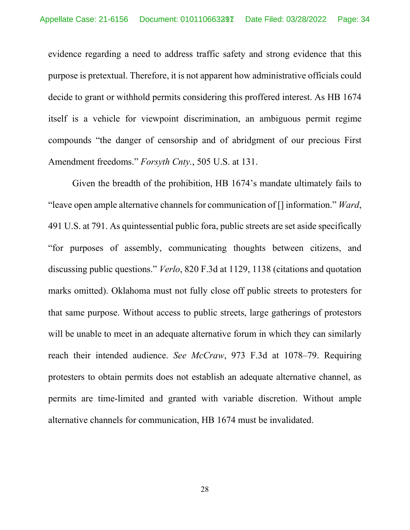evidence regarding a need to address traffic safety and strong evidence that this purpose is pretextual. Therefore, it is not apparent how administrative officials could decide to grant or withhold permits considering this proffered interest. As HB 1674 itself is a vehicle for viewpoint discrimination, an ambiguous permit regime compounds "the danger of censorship and of abridgment of our precious First Amendment freedoms." *Forsyth Cnty.*, 505 U.S. at 131.

Given the breadth of the prohibition, HB 1674's mandate ultimately fails to "leave open ample alternative channels for communication of [] information." *Ward*, 491 U.S. at 791. As quintessential public fora, public streets are set aside specifically "for purposes of assembly, communicating thoughts between citizens, and discussing public questions." *Verlo*, 820 F.3d at 1129, 1138 (citations and quotation marks omitted). Oklahoma must not fully close off public streets to protesters for that same purpose. Without access to public streets, large gatherings of protestors will be unable to meet in an adequate alternative forum in which they can similarly reach their intended audience. *See McCraw*, 973 F.3d at 1078–79. Requiring protesters to obtain permits does not establish an adequate alternative channel, as permits are time-limited and granted with variable discretion. Without ample alternative channels for communication, HB 1674 must be invalidated.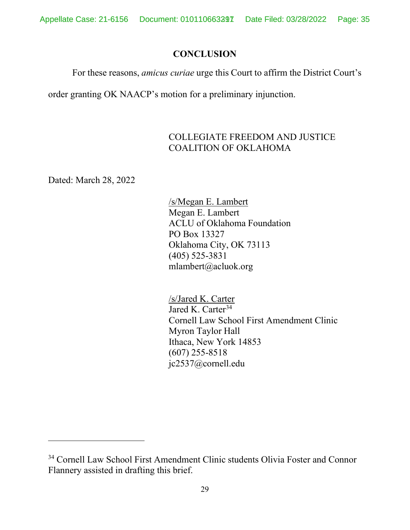### **CONCLUSION**

<span id="page-34-0"></span>For these reasons, *amicus curiae* urge this Court to affirm the District Court's

order granting OK NAACP's motion for a preliminary injunction.

## COLLEGIATE FREEDOM AND JUSTICE COALITION OF OKLAHOMA

Dated: March 28, 2022

/s/Megan E. Lambert Megan E. Lambert ACLU of Oklahoma Foundation PO Box 13327 Oklahoma City, OK 73113 (405) 525-3831 mlambert@acluok.org

/s/Jared K. Carter Jared K. Carter $34$ Cornell Law School First Amendment Clinic Myron Taylor Hall Ithaca, New York 14853 (607) 255-8518 jc2537@cornell.edu

<span id="page-34-1"></span><sup>34</sup> Cornell Law School First Amendment Clinic students Olivia Foster and Connor Flannery assisted in drafting this brief.